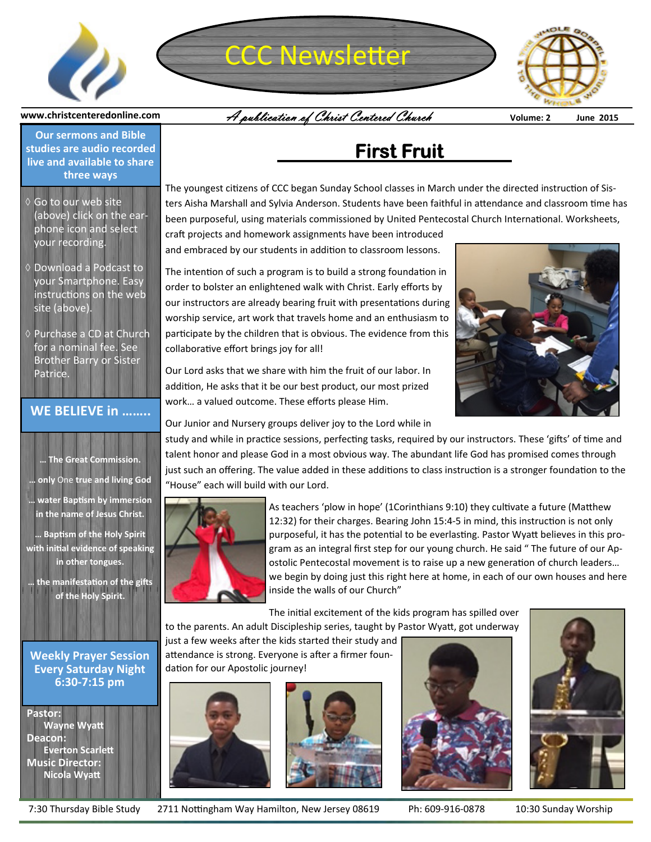

# CCC Newsletter



A publication of Christ Centered Church **Volume: 2 June 2015**

**www.christcenteredonline.com** 

**Our sermons and Bible studies are audio recorded live and available to share three ways** 

- Go to our web site (above) click on the earphone icon and select your recording.
- ♦ Download a Podcast to your Smartphone. Easy instructions on the web site (above).
- Purchase a CD at Church for a nominal fee. See Brother Barry or Sister Patrice.

#### **WE BELIEVE in ……..**

**… The Great Commission. … only** One **true and living God … water BapƟsm by immersion in the name of Jesus Christ.** 

**… BapƟsm of the Holy Spirit with iniƟal evidence of speaking in other tongues.** 

**the manifestation of the gifts of the Holy Spirit.**

**Weekly Prayer Session Every Saturday Night 6:30-7:15 pm** 

**Pastor: Wayne Wyatt Deacon: Everton Scarlett Music Director: Nicola WyaƩ**

## **First Fruit**

The youngest citizens of CCC began Sunday School classes in March under the directed instruction of Sisters Aisha Marshall and Sylvia Anderson. Students have been faithful in attendance and classroom time has been purposeful, using materials commissioned by United Pentecostal Church International. Worksheets,

craft projects and homework assignments have been introduced and embraced by our students in addition to classroom lessons.

The intention of such a program is to build a strong foundation in order to bolster an enlightened walk with Christ. Early efforts by our instructors are already bearing fruit with presentations during worship service, art work that travels home and an enthusiasm to participate by the children that is obvious. The evidence from this collaborative effort brings joy for all!

Our Lord asks that we share with him the fruit of our labor. In addition, He asks that it be our best product, our most prized work… a valued outcome. These efforts please Him.



Our Junior and Nursery groups deliver joy to the Lord while in

study and while in practice sessions, perfecting tasks, required by our instructors. These 'gifts' of time and talent honor and please God in a most obvious way. The abundant life God has promised comes through just such an offering. The value added in these additions to class instruction is a stronger foundation to the "House" each will build with our Lord.



As teachers 'plow in hope' (1Corinthians 9:10) they cultivate a future (Matthew 12:32) for their charges. Bearing John 15:4-5 in mind, this instruction is not only purposeful, it has the potential to be everlasting. Pastor Wyatt believes in this program as an integral first step for our young church. He said " The future of our Apostolic Pentecostal movement is to raise up a new generation of church leaders... we begin by doing just this right here at home, in each of our own houses and here inside the walls of our Church"

The initial excitement of the kids program has spilled over to the parents. An adult Discipleship series, taught by Pastor Wyatt, got underway

just a few weeks after the kids started their study and attendance is strong. Everyone is after a firmer foundation for our Apostolic journey!









7:30 Thursday Bible Study 2711 Nottingham Way Hamilton, New Jersey 08619 Ph: 609-916-0878 10:30 Sunday Worship